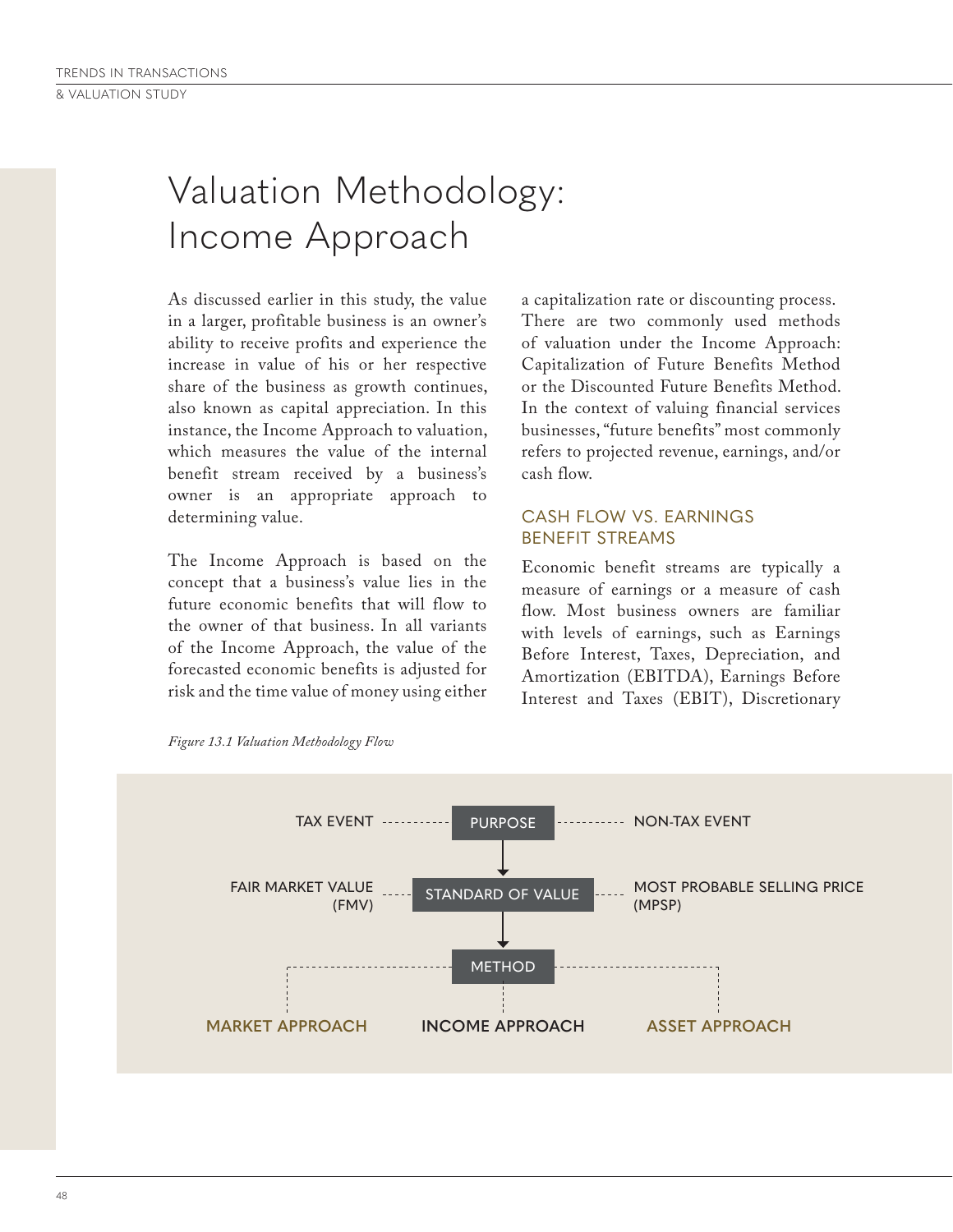# Valuation Methodology: Income Approach

As discussed earlier in this study, the value in a larger, profitable business is an owner's ability to receive profits and experience the increase in value of his or her respective share of the business as growth continues, also known as capital appreciation. In this instance, the Income Approach to valuation, which measures the value of the internal benefit stream received by a business's owner is an appropriate approach to determining value.

The Income Approach is based on the concept that a business's value lies in the future economic benefits that will flow to the owner of that business. In all variants of the Income Approach, the value of the forecasted economic benefits is adjusted for risk and the time value of money using either a capitalization rate or discounting process. There are two commonly used methods of valuation under the Income Approach: Capitalization of Future Benefits Method or the Discounted Future Benefits Method. In the context of valuing financial services businesses, "future benefits" most commonly refers to projected revenue, earnings, and/or cash flow.

## CASH FLOW VS. EARNINGS BENEFIT STREAMS

Economic benefit streams are typically a measure of earnings or a measure of cash flow. Most business owners are familiar with levels of earnings, such as Earnings Before Interest, Taxes, Depreciation, and Amortization (EBITDA), Earnings Before Interest and Taxes (EBIT), Discretionary



*Figure 13.1 Valuation Methodology Flow*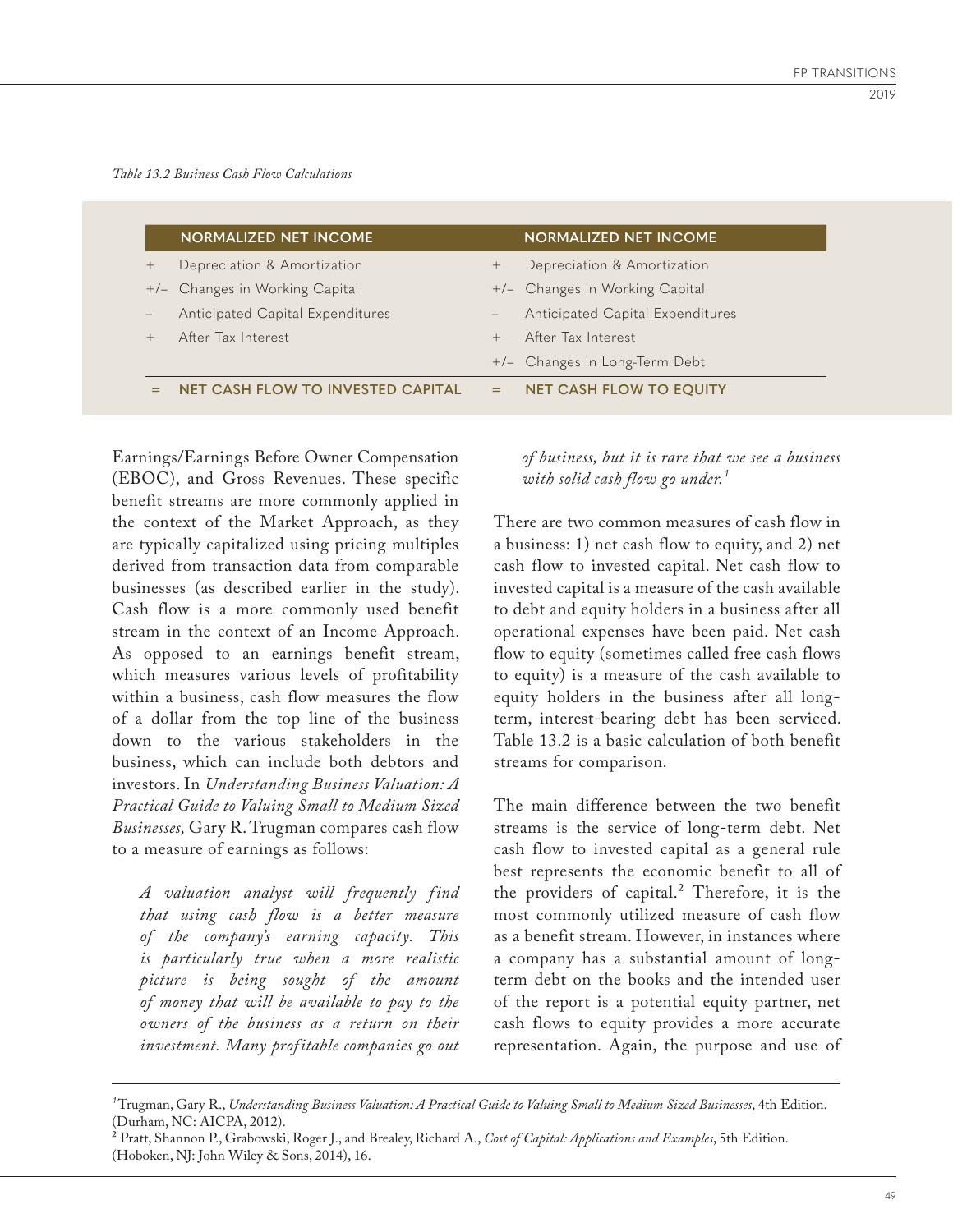|                   | <b>NORMALIZED NET INCOME</b>             |     | <b>NORMALIZED NET INCOME</b>     |
|-------------------|------------------------------------------|-----|----------------------------------|
| $^{+}$            | Depreciation & Amortization              | $+$ | Depreciation & Amortization      |
|                   | +/- Changes in Working Capital           |     | +/- Changes in Working Capital   |
| $\qquad \qquad -$ | Anticipated Capital Expenditures         |     | Anticipated Capital Expenditures |
| $^{+}$            | After Tax Interest                       |     | After Tax Interest               |
|                   |                                          |     | +/- Changes in Long-Term Debt    |
|                   | <b>NET CASH FLOW TO INVESTED CAPITAL</b> | =   | <b>NET CASH FLOW TO EQUITY</b>   |

Earnings/Earnings Before Owner Compensation (EBOC), and Gross Revenues. These specific benefit streams are more commonly applied in the context of the Market Approach, as they are typically capitalized using pricing multiples derived from transaction data from comparable businesses (as described earlier in the study). Cash flow is a more commonly used benefit stream in the context of an Income Approach. As opposed to an earnings benefit stream, which measures various levels of profitability within a business, cash flow measures the flow of a dollar from the top line of the business down to the various stakeholders in the business, which can include both debtors and investors. In *Understanding Business Valuation: A Practical Guide to Valuing Small to Medium Sized Businesses,* Gary R. Trugman compares cash flow to a measure of earnings as follows:

*A valuation analyst will frequently f ind that using cash flow is a better measure of the company's earning capacity. This is particularly true when a more realistic picture is being sought of the amount of money that will be available to pay to the owners of the business as a return on their investment. Many prof itable companies go out* 

*of business, but it is rare that we see a business with solid cash flow go under.¹*

There are two common measures of cash flow in a business: 1) net cash flow to equity, and 2) net cash flow to invested capital. Net cash flow to invested capital is a measure of the cash available to debt and equity holders in a business after all operational expenses have been paid. Net cash flow to equity (sometimes called free cash flows to equity) is a measure of the cash available to equity holders in the business after all longterm, interest-bearing debt has been serviced. Table 13.2 is a basic calculation of both benefit streams for comparison.

The main difference between the two benefit streams is the service of long-term debt. Net cash flow to invested capital as a general rule best represents the economic benefit to all of the providers of capital.² Therefore, it is the most commonly utilized measure of cash flow as a benefit stream. However, in instances where a company has a substantial amount of longterm debt on the books and the intended user of the report is a potential equity partner, net cash flows to equity provides a more accurate representation. Again, the purpose and use of

*¹* Trugman, Gary R., *Understanding Business Valuation: A Practical Guide to Valuing Small to Medium Sized Businesses*, 4th Edition. (Durham, NC: AICPA, 2012).

² Pratt, Shannon P., Grabowski, Roger J., and Brealey, Richard A., *Cost of Capital: Applications and Examples*, 5th Edition. (Hoboken, NJ: John Wiley & Sons, 2014), 16.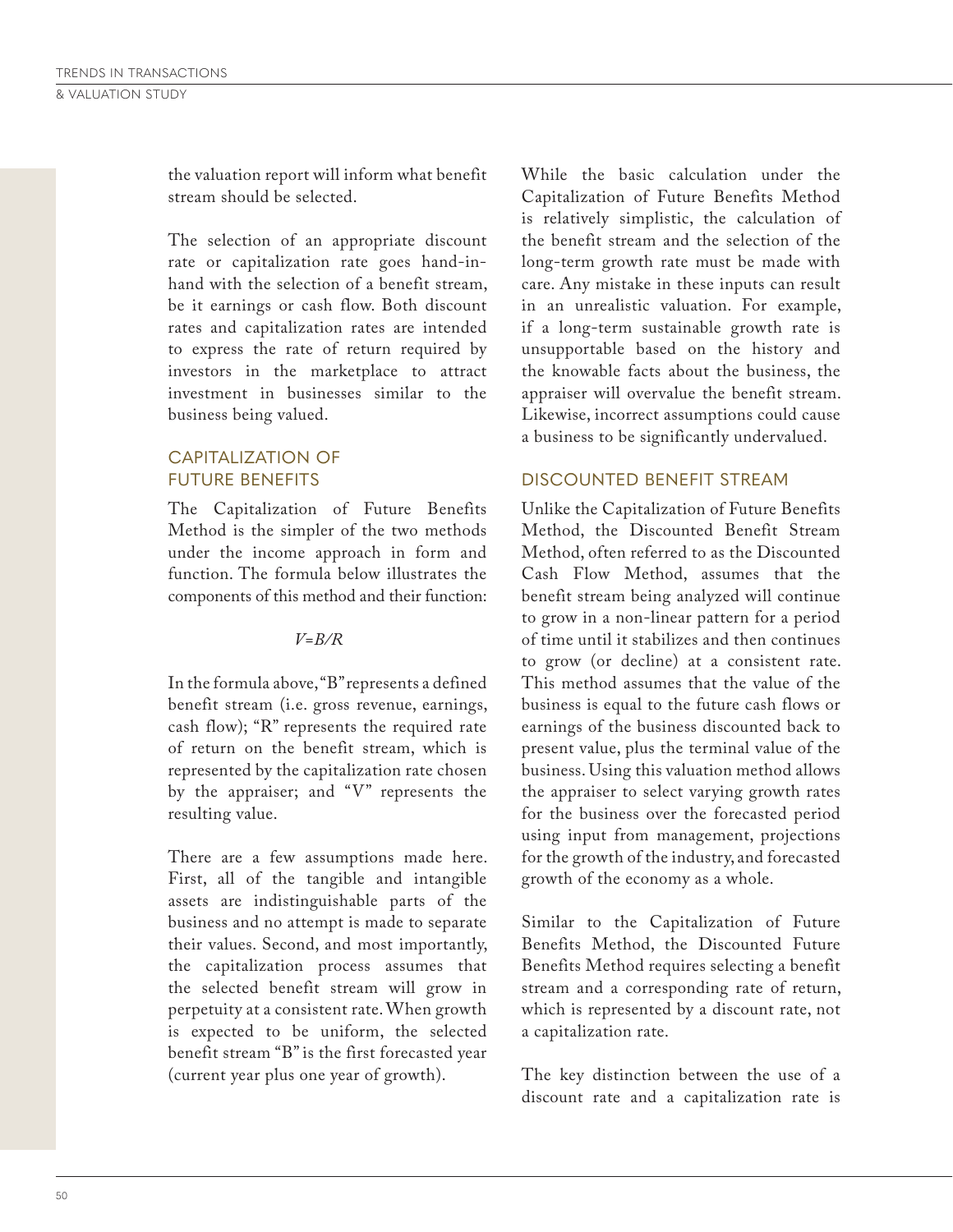the valuation report will inform what benefit stream should be selected.

The selection of an appropriate discount rate or capitalization rate goes hand-inhand with the selection of a benefit stream, be it earnings or cash flow. Both discount rates and capitalization rates are intended to express the rate of return required by investors in the marketplace to attract investment in businesses similar to the business being valued.

#### CAPITALIZATION OF FUTURE BENEFITS

The Capitalization of Future Benefits Method is the simpler of the two methods under the income approach in form and function. The formula below illustrates the components of this method and their function:

#### *V=B/R*

In the formula above, "B" represents a defined benefit stream (i.e. gross revenue, earnings, cash flow); "R" represents the required rate of return on the benefit stream, which is represented by the capitalization rate chosen by the appraiser; and "V" represents the resulting value.

There are a few assumptions made here. First, all of the tangible and intangible assets are indistinguishable parts of the business and no attempt is made to separate their values. Second, and most importantly, the capitalization process assumes that the selected benefit stream will grow in perpetuity at a consistent rate. When growth is expected to be uniform, the selected benefit stream "B" is the first forecasted year (current year plus one year of growth).

While the basic calculation under the Capitalization of Future Benefits Method is relatively simplistic, the calculation of the benefit stream and the selection of the long-term growth rate must be made with care. Any mistake in these inputs can result in an unrealistic valuation. For example, if a long-term sustainable growth rate is unsupportable based on the history and the knowable facts about the business, the appraiser will overvalue the benefit stream. Likewise, incorrect assumptions could cause a business to be significantly undervalued.

### DISCOUNTED BENEFIT STREAM

Unlike the Capitalization of Future Benefits Method, the Discounted Benefit Stream Method, often referred to as the Discounted Cash Flow Method, assumes that the benefit stream being analyzed will continue to grow in a non-linear pattern for a period of time until it stabilizes and then continues to grow (or decline) at a consistent rate. This method assumes that the value of the business is equal to the future cash flows or earnings of the business discounted back to present value, plus the terminal value of the business. Using this valuation method allows the appraiser to select varying growth rates for the business over the forecasted period using input from management, projections for the growth of the industry, and forecasted growth of the economy as a whole.

Similar to the Capitalization of Future Benefits Method, the Discounted Future Benefits Method requires selecting a benefit stream and a corresponding rate of return, which is represented by a discount rate, not a capitalization rate.

The key distinction between the use of a discount rate and a capitalization rate is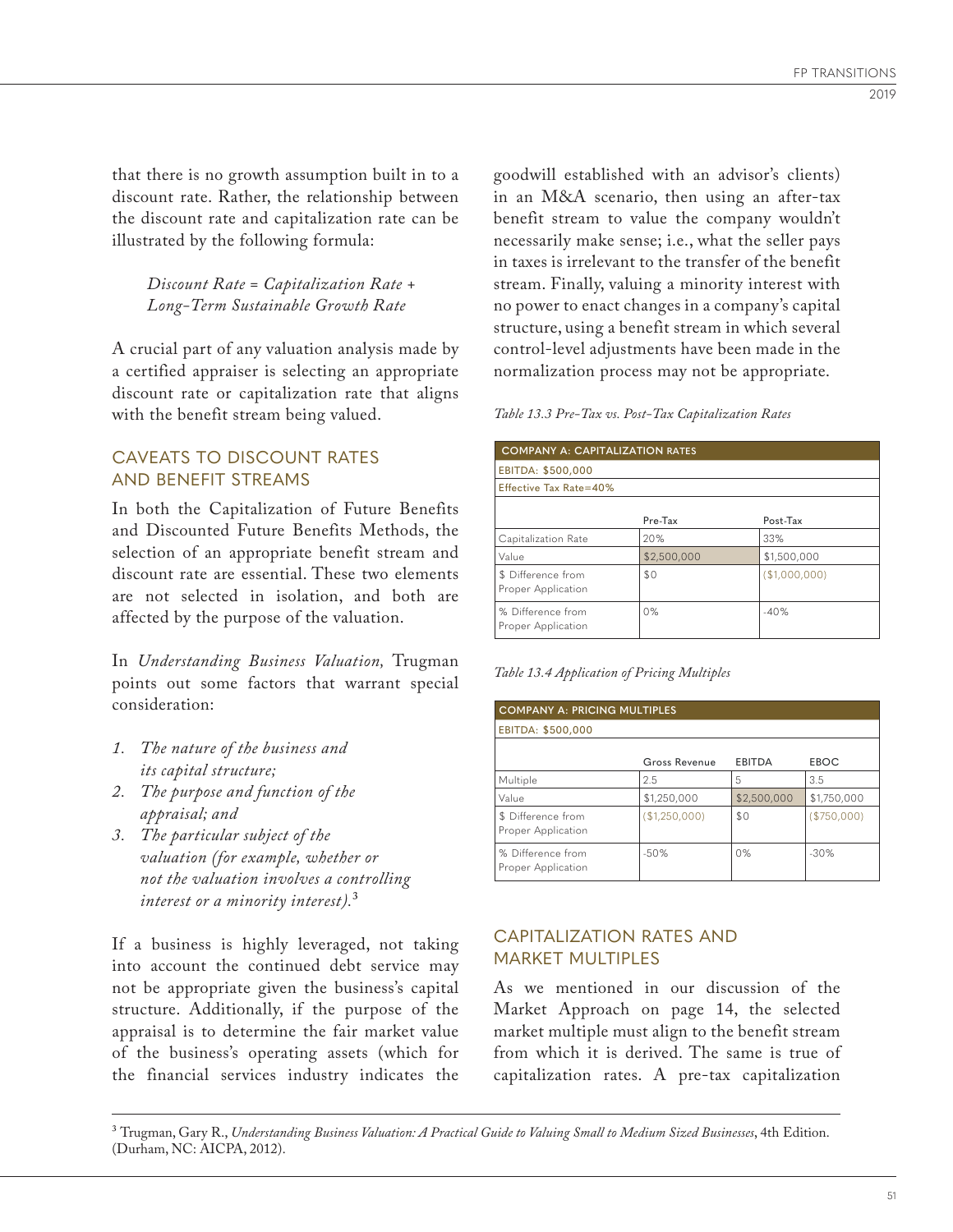that there is no growth assumption built in to a discount rate. Rather, the relationship between the discount rate and capitalization rate can be illustrated by the following formula:

*Discount Rate = Capitalization Rate + Long-Term Sustainable Growth Rate*

A crucial part of any valuation analysis made by a certified appraiser is selecting an appropriate discount rate or capitalization rate that aligns with the benefit stream being valued.

### CAVEATS TO DISCOUNT RATES AND BENEFIT STREAMS

In both the Capitalization of Future Benefits and Discounted Future Benefits Methods, the selection of an appropriate benefit stream and discount rate are essential. These two elements are not selected in isolation, and both are affected by the purpose of the valuation.

In *Understanding Business Valuation,* Trugman points out some factors that warrant special consideration:

- *1. The nature of the business and its capital structure;*
- *2. The purpose and function of the appraisal; and*
- *3. The particular subject of the valuation (for example, whether or not the valuation involves a controlling interest or a minority interest).*3

If a business is highly leveraged, not taking into account the continued debt service may not be appropriate given the business's capital structure. Additionally, if the purpose of the appraisal is to determine the fair market value of the business's operating assets (which for the financial services industry indicates the

goodwill established with an advisor's clients) in an M&A scenario, then using an after-tax benefit stream to value the company wouldn't necessarily make sense; i.e., what the seller pays in taxes is irrelevant to the transfer of the benefit stream. Finally, valuing a minority interest with no power to enact changes in a company's capital structure, using a benefit stream in which several control-level adjustments have been made in the normalization process may not be appropriate.

| <b>COMPANY A: CAPITALIZATION RATES</b>   |             |               |  |  |  |  |  |  |
|------------------------------------------|-------------|---------------|--|--|--|--|--|--|
| EBITDA: \$500,000                        |             |               |  |  |  |  |  |  |
| Effective Tax Rate=40%                   |             |               |  |  |  |  |  |  |
|                                          | Pre-Tax     | Post-Tax      |  |  |  |  |  |  |
| Capitalization Rate                      | 20%         | 33%           |  |  |  |  |  |  |
| Value                                    | \$2,500,000 | \$1,500,000   |  |  |  |  |  |  |
| \$ Difference from<br>Proper Application | \$0         | (\$1,000,000) |  |  |  |  |  |  |
| % Difference from<br>Proper Application  | 0%          | $-40%$        |  |  |  |  |  |  |

*Table 13.4 Application of Pricing Multiples*

| <b>COMPANY A: PRICING MULTIPLES</b>      |               |               |             |  |  |  |  |  |
|------------------------------------------|---------------|---------------|-------------|--|--|--|--|--|
| EBITDA: \$500,000                        |               |               |             |  |  |  |  |  |
|                                          | Gross Revenue | <b>EBITDA</b> | EBOC        |  |  |  |  |  |
| Multiple                                 | 2.5           | 5             | 3.5         |  |  |  |  |  |
| Value                                    | \$1,250,000   | \$2,500,000   | \$1,750,000 |  |  |  |  |  |
| \$ Difference from<br>Proper Application | (\$1,250,000) | \$0           | (\$750,000) |  |  |  |  |  |
| % Difference from<br>Proper Application  | $-50%$        | 0%            | $-30%$      |  |  |  |  |  |

# CAPITALIZATION RATES AND MARKET MULTIPLES

As we mentioned in our discussion of the Market Approach on page 14, the selected market multiple must align to the benefit stream from which it is derived. The same is true of capitalization rates. A pre-tax capitalization

3 Trugman, Gary R., *Understanding Business Valuation: A Practical Guide to Valuing Small to Medium Sized Businesses*, 4th Edition. (Durham, NC: AICPA, 2012).